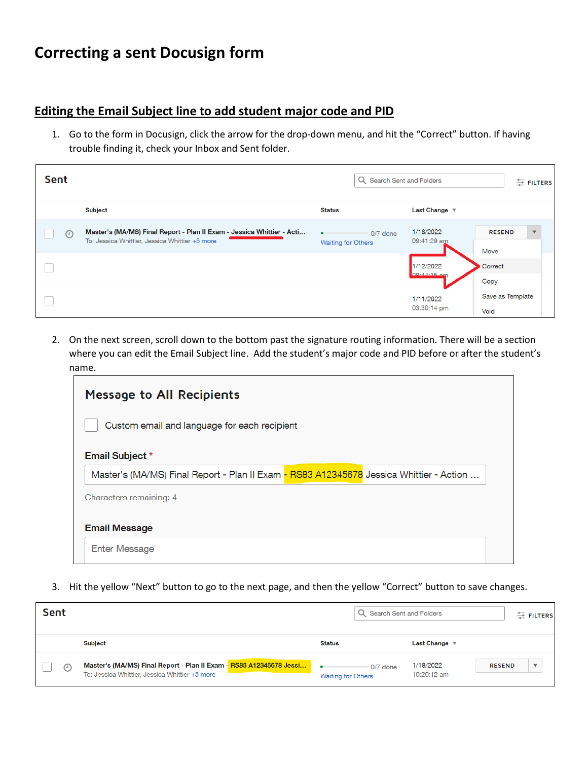## **Correcting a sent Docusign form**

## **Editing the Email Subject line to add student major code and PID**

1. Go to the form in Docusign, click the arrow for the drop-down menu, and hit the "Correct" button. If having trouble finding it, check your Inbox and Sent folder.

| Sent |                                                                                                                          | Q Search Sent and Folders               |                                  | $E$ FILTERS              |
|------|--------------------------------------------------------------------------------------------------------------------------|-----------------------------------------|----------------------------------|--------------------------|
|      | <b>Subject</b>                                                                                                           | <b>Status</b>                           | Last Change $\blacktriangledown$ |                          |
| ⊙    | Master's (MA/MS) Final Report - Plan II Exam - Jessica Whittier - Acti<br>To: Jessica Whittier, Jessica Whittier +5 more | $0/7$ done<br><b>Waiting for Others</b> | 1/18/2022<br>09:41:29 am         | <b>RESEND</b><br>Move    |
|      |                                                                                                                          |                                         | 1/12/2022<br>09.44.15 cm         | Correct<br>Copy          |
|      |                                                                                                                          |                                         | 1/11/2022<br>03:30:14 pm         | Save as Template<br>Void |

2. On the next screen, scroll down to the bottom past the signature routing information. There will be a section where you can edit the Email Subject line. Add the student's major code and PID before or after the student's name.

| <b>Message to All Recipients</b>                                                        |  |  |  |  |  |  |
|-----------------------------------------------------------------------------------------|--|--|--|--|--|--|
| Custom email and language for each recipient                                            |  |  |  |  |  |  |
| <b>Email Subject *</b>                                                                  |  |  |  |  |  |  |
| Master's (MA/MS) Final Report - Plan II Exam - RS83 A12345678 Jessica Whittier - Action |  |  |  |  |  |  |
| Characters remaining: 4                                                                 |  |  |  |  |  |  |
| <b>Email Message</b>                                                                    |  |  |  |  |  |  |
| <b>Enter Message</b>                                                                    |  |  |  |  |  |  |

3. Hit the yellow "Next" button to go to the next page, and then the yellow "Correct" button to save changes.

| Sent    |                                                                                                                       |                                       | Search Sent and Folders  |                         |
|---------|-----------------------------------------------------------------------------------------------------------------------|---------------------------------------|--------------------------|-------------------------|
|         | Subject                                                                                                               | <b>Status</b>                         | Last Change              |                         |
| $\odot$ | Master's (MA/MS) Final Report - Plan II Exam - RS83 A12345678 Jessi<br>To: Jessica Whittier, Jessica Whittier +5 more | 0/7 done<br><b>Waiting for Others</b> | 1/18/2022<br>10:20:12 am | <b>RESEND</b><br>$\sim$ |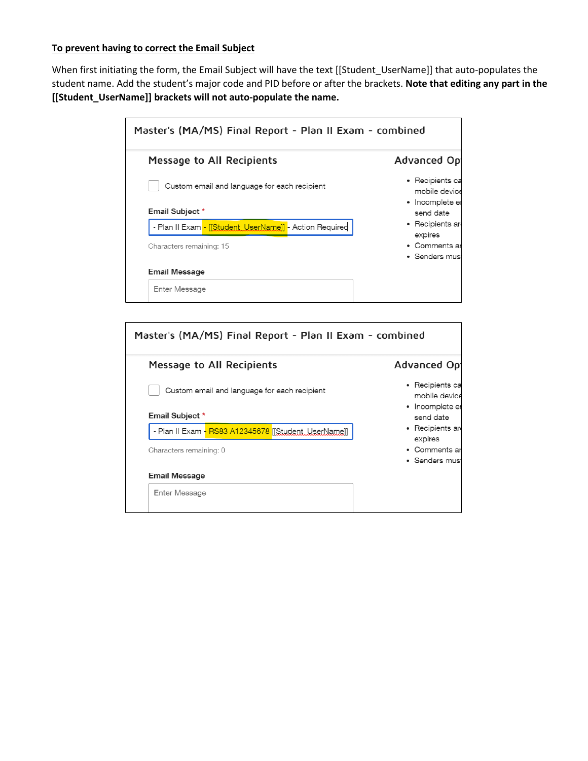## **To prevent having to correct the Email Subject**

When first initiating the form, the Email Subject will have the text [[Student\_UserName]] that auto-populates the student name. Add the student's major code and PID before or after the brackets. **Note that editing any part in the [[Student\_UserName]] brackets will not auto-populate the name.**

| Master's (MA/MS) Final Report - Plan II Exam - combined |                                  |  |
|---------------------------------------------------------|----------------------------------|--|
| Message to All Recipients                               | Advanced Op                      |  |
| Custom email and language for each recipient            | • Recipients ca<br>mobile device |  |
| Email Subject *                                         | • Incomplete er<br>send date     |  |
| - Plan II Exam - [[Student_UserName]] - Action Required | • Recipients an<br>expires       |  |
| Characters remaining: 15                                | • Comments ar<br>• Senders musi  |  |
| <b>Email Message</b>                                    |                                  |  |
| Enter Message                                           |                                  |  |

| Master's (MA/MS) Final Report - Plan II Exam - combined |                                                     |  |  |  |  |  |
|---------------------------------------------------------|-----------------------------------------------------|--|--|--|--|--|
| Message to All Recipients                               | Advanced Op                                         |  |  |  |  |  |
| Custom email and language for each recipient            | • Recipients ca<br>mobile device<br>• Incomplete er |  |  |  |  |  |
| Email Subject *                                         | send date                                           |  |  |  |  |  |
| - Plan II Exam - RS83 A12345678 [Student UserName]]     | • Recipients ar                                     |  |  |  |  |  |
| Characters remaining: 0                                 | expires<br>• Comments ar<br>• Senders mus           |  |  |  |  |  |
| Email Message                                           |                                                     |  |  |  |  |  |
| Enter Message                                           |                                                     |  |  |  |  |  |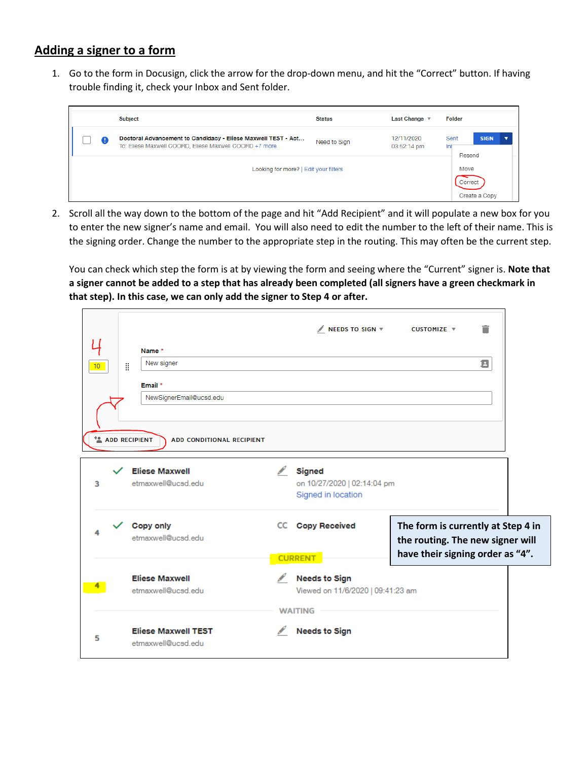## **Adding a signer to a form**

1. Go to the form in Docusign, click the arrow for the drop-down menu, and hit the "Correct" button. If having trouble finding it, check your Inbox and Sent folder.

|                                                                                                                              | Subject | <b>Status</b>                    | Last Change $\sqrt$       | Folder                               |
|------------------------------------------------------------------------------------------------------------------------------|---------|----------------------------------|---------------------------|--------------------------------------|
| Doctoral Advancement to Candidacy - Eliese Maxwell TEST - Act<br>Œ<br>To: Eliese Maxwell COORD, Eliese Maxwell COORD +7 more |         | Need to Sign                     | 12/11/2020<br>03:52:14 pm | Sent<br><b>SIGN</b><br>Int<br>Resend |
|                                                                                                                              |         | Move<br>Correct<br>Create a Copy |                           |                                      |

2. Scroll all the way down to the bottom of the page and hit "Add Recipient" and it will populate a new box for you to enter the new signer's name and email. You will also need to edit the number to the left of their name. This is the signing order. Change the number to the appropriate step in the routing. This may often be the current step.

You can check which step the form is at by viewing the form and seeing where the "Current" signer is. **Note that a signer cannot be added to a step that has already been completed (all signers have a green checkmark in that step). In this case, we can only add the signer to Step 4 or after.**

| 10 <sub>1</sub> | ă | Name *<br>New signer<br>Email *<br>NewSignerEmail@ucsd.edu<br><b>ADD RECIPIENT</b><br><b>ADD CONDITIONAL RECIPIENT</b> |                                            | $\sqrt{}$ NEEDS TO SIGN $\Psi$                                              | Ê<br>CUSTOMIZE $\overline{v}$<br>Ξ                                                                         |  |
|-----------------|---|------------------------------------------------------------------------------------------------------------------------|--------------------------------------------|-----------------------------------------------------------------------------|------------------------------------------------------------------------------------------------------------|--|
| з               |   | <b>Eliese Maxwell</b><br>etmaxwell@ucsd.edu                                                                            | <b>Contract Contract Contract Contract</b> | Signed<br>on 10/27/2020   02:14:04 pm<br>Signed in location                 |                                                                                                            |  |
|                 |   | Copy only<br>etmaxwell@ucsd.edu                                                                                        |                                            | <b>CC</b> Copy Received<br><b>CURRENT</b>                                   | The form is currently at Step 4 in<br>the routing. The new signer will<br>have their signing order as "4". |  |
|                 |   | <b>Eliese Maxwell</b><br>etmaxwell@ucsd.edu                                                                            |                                            | <b>Needs to Sign</b><br>Viewed on 11/6/2020   09:41:23 am<br><b>WAITING</b> |                                                                                                            |  |
| 5               |   | <b>Eliese Maxwell TEST</b><br>etmaxwell@ucsd.edu                                                                       |                                            | <b>Needs to Sign</b>                                                        |                                                                                                            |  |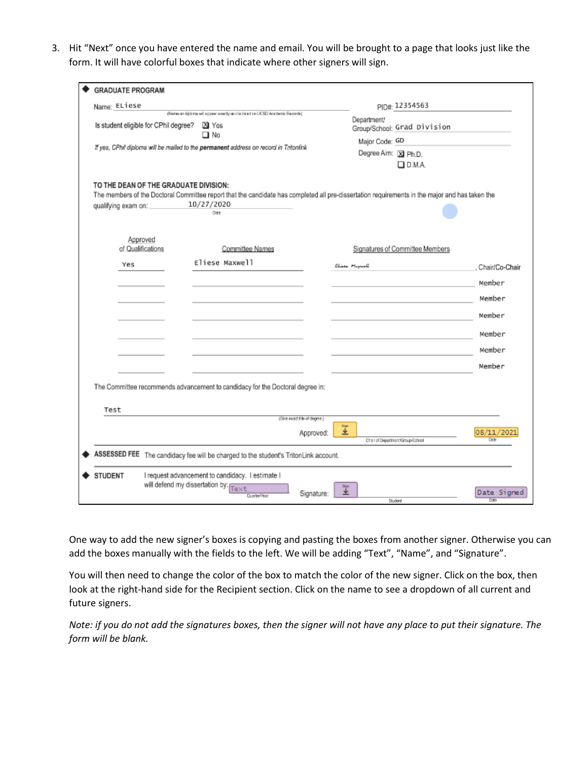3. Hit "Next" once you have entered the name and email. You will be brought to a page that looks just like the form. It will have colorful boxes that indicate where other signers will sign.

| <b>GRADUATE PROGRAM</b>                                                                                                                                                                                                            |                                                                                                                                                                       |                  |                                                                                                |                            |  |
|------------------------------------------------------------------------------------------------------------------------------------------------------------------------------------------------------------------------------------|-----------------------------------------------------------------------------------------------------------------------------------------------------------------------|------------------|------------------------------------------------------------------------------------------------|----------------------------|--|
| Name: ELiese                                                                                                                                                                                                                       |                                                                                                                                                                       |                  | PID#: 12354563                                                                                 |                            |  |
| (Name on diploms will appear a certly as it is listed on UCSD Academic Records)<br>Is student eligible for CPhil degree?<br>⊠ Yes<br>□ No<br>If yes, CPhil diploma will be mailed to the permanent address on record in Tritonlink |                                                                                                                                                                       |                  | Department/<br>Group/School: Grad Division<br>Major Code: GD<br>Degree Aim: X Ph.D.<br>D. M.A. |                            |  |
| TO THE DEAN OF THE GRADUATE DIVISION:<br>qualifying exam on:                                                                                                                                                                       | The members of the Doctoral Committee report that the candidate has completed all pre-dissertation requirements in the major and has taken the<br>10/27/2020<br>Date: |                  |                                                                                                |                            |  |
| Approved<br>of Qualifications                                                                                                                                                                                                      | Committee Names                                                                                                                                                       |                  | Signatures of Committee Members                                                                |                            |  |
| Yes                                                                                                                                                                                                                                | Eliese Maxwell                                                                                                                                                        |                  | Elisa Hypod                                                                                    | Chair/Co-Chair             |  |
|                                                                                                                                                                                                                                    |                                                                                                                                                                       |                  |                                                                                                | Member                     |  |
|                                                                                                                                                                                                                                    |                                                                                                                                                                       |                  |                                                                                                | Member                     |  |
|                                                                                                                                                                                                                                    |                                                                                                                                                                       |                  |                                                                                                | Member                     |  |
|                                                                                                                                                                                                                                    |                                                                                                                                                                       |                  |                                                                                                | Member                     |  |
|                                                                                                                                                                                                                                    |                                                                                                                                                                       |                  |                                                                                                | Member                     |  |
|                                                                                                                                                                                                                                    |                                                                                                                                                                       |                  |                                                                                                | Member                     |  |
| Test                                                                                                                                                                                                                               | The Committee recommends advancement to candidacy for the Doctoral degree in:                                                                                         |                  |                                                                                                |                            |  |
|                                                                                                                                                                                                                                    | (Give exact title of degree.)                                                                                                                                         |                  |                                                                                                |                            |  |
|                                                                                                                                                                                                                                    |                                                                                                                                                                       | 輩<br>Approved:   | Chair of Department/Group/School                                                               | 08/11/20                   |  |
|                                                                                                                                                                                                                                    | ASSESSED FEE The candidacy fee will be charged to the student's TritonLink account.                                                                                   |                  |                                                                                                |                            |  |
| <b>STUDENT</b>                                                                                                                                                                                                                     | I request advancement to candidacy. I estimate I<br>will defend my dissertation by<br>Text<br>Cuarter/Year                                                            | 工业<br>Signature: | Student                                                                                        | Date Signed<br><b>Data</b> |  |

One way to add the new signer's boxes is copying and pasting the boxes from another signer. Otherwise you can add the boxes manually with the fields to the left. We will be adding "Text", "Name", and "Signature".

You will then need to change the color of the box to match the color of the new signer. Click on the box, then look at the right-hand side for the Recipient section. Click on the name to see a dropdown of all current and future signers.

*Note: if you do not add the signatures boxes, then the signer will not have any place to put their signature. The form will be blank.*